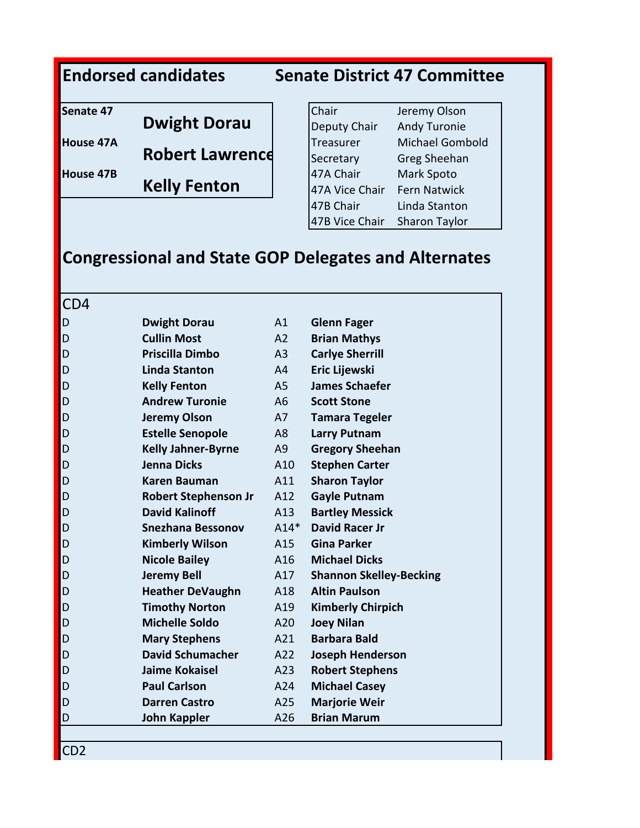## **Endorsed candidates Senate District 47 Committee**

| Senate 47 |                        | Chair          | Jeremy Olson         |  |
|-----------|------------------------|----------------|----------------------|--|
|           | <b>Dwight Dorau</b>    | Deputy Chair   | <b>Andy Turonie</b>  |  |
| House 47A |                        | Treasurer      | Michael Gombold      |  |
|           | <b>Robert Lawrence</b> | Secretary      | Greg Sheehan         |  |
| House 47B |                        | 47A Chair      | Mark Spoto           |  |
|           | <b>Kelly Fenton</b>    | 47A Vice Chair | Fern Natwick         |  |
|           |                        | 47B Chair      | Linda Stanton        |  |
|           |                        | 47B Vice Chair | <b>Sharon Taylor</b> |  |

## **Congressional and State GOP Delegates and Alternates**

CD4

| D | <b>Dwight Dorau</b>         | A1             | <b>Glenn Fager</b>             |
|---|-----------------------------|----------------|--------------------------------|
| D | <b>Cullin Most</b>          | A2             | <b>Brian Mathys</b>            |
| D | Priscilla Dimbo             | A <sub>3</sub> | <b>Carlye Sherrill</b>         |
| D | Linda Stanton               | A <sup>4</sup> | Eric Lijewski                  |
| D | <b>Kelly Fenton</b>         | A <sub>5</sub> | <b>James Schaefer</b>          |
| D | <b>Andrew Turonie</b>       | A <sub>6</sub> | <b>Scott Stone</b>             |
| D | <b>Jeremy Olson</b>         | A7             | <b>Tamara Tegeler</b>          |
| D | <b>Estelle Senopole</b>     | A <sub>8</sub> | <b>Larry Putnam</b>            |
| D | <b>Kelly Jahner-Byrne</b>   | A <sub>9</sub> | <b>Gregory Sheehan</b>         |
| D | <b>Jenna Dicks</b>          | A10            | <b>Stephen Carter</b>          |
| D | <b>Karen Bauman</b>         | A11            | <b>Sharon Taylor</b>           |
| D | <b>Robert Stephenson Jr</b> | A12            | <b>Gayle Putnam</b>            |
| D | <b>David Kalinoff</b>       | A13            | <b>Bartley Messick</b>         |
| D | <b>Snezhana Bessonov</b>    | $A14*$         | <b>David Racer Jr</b>          |
| D | <b>Kimberly Wilson</b>      | A15            | Gina Parker                    |
| D | <b>Nicole Bailey</b>        | A16            | <b>Michael Dicks</b>           |
| D | <b>Jeremy Bell</b>          | A17            | <b>Shannon Skelley-Becking</b> |
| D | <b>Heather DeVaughn</b>     | A18            | <b>Altin Paulson</b>           |
| D | <b>Timothy Norton</b>       | A19            | <b>Kimberly Chirpich</b>       |
| D | <b>Michelle Soldo</b>       | A20            | <b>Joey Nilan</b>              |
| D | <b>Mary Stephens</b>        | A21            | <b>Barbara Bald</b>            |
| D | <b>David Schumacher</b>     | A22            | <b>Joseph Henderson</b>        |
| D | Jaime Kokaisel              | A23            | <b>Robert Stephens</b>         |
| D | <b>Paul Carlson</b>         | A24            | <b>Michael Casey</b>           |
| D | <b>Darren Castro</b>        | A25            | <b>Marjorie Weir</b>           |
| D | <b>John Kappler</b>         | A26            | <b>Brian Marum</b>             |

CD2